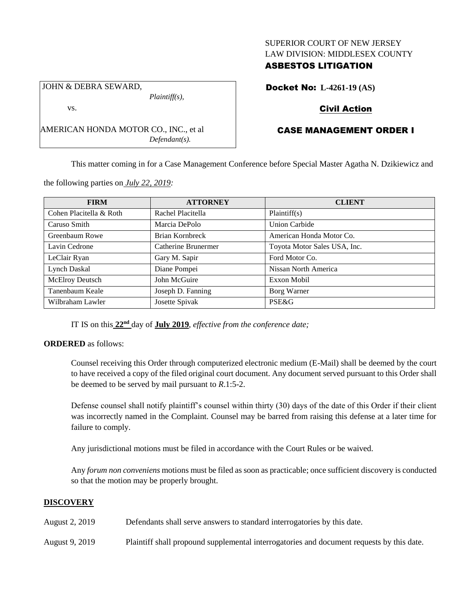## SUPERIOR COURT OF NEW JERSEY LAW DIVISION: MIDDLESEX COUNTY

# ASBESTOS LITIGATION

Docket No: **L-4261-19 (AS)**

# Civil Action

# CASE MANAGEMENT ORDER I

This matter coming in for a Case Management Conference before Special Master Agatha N. Dzikiewicz and

the following parties on *July 22, 2019:*

AMERICAN HONDA MOTOR CO., INC., et al

JOHN & DEBRA SEWARD,

vs.

| <b>FIRM</b>             | <b>ATTORNEY</b>     | <b>CLIENT</b>                |
|-------------------------|---------------------|------------------------------|
| Cohen Placitella & Roth | Rachel Placitella   | Plaintiff(s)                 |
| Caruso Smith            | Marcia DePolo       | <b>Union Carbide</b>         |
| Greenbaum Rowe          | Brian Kornbreck     | American Honda Motor Co.     |
| Lavin Cedrone           | Catherine Brunermer | Toyota Motor Sales USA, Inc. |
| LeClair Ryan            | Gary M. Sapir       | Ford Motor Co.               |
| Lynch Daskal            | Diane Pompei        | Nissan North America         |
| McElroy Deutsch         | John McGuire        | Exxon Mobil                  |
| Tanenbaum Keale         | Joseph D. Fanning   | Borg Warner                  |
| Wilbraham Lawler        | Josette Spivak      | PSE&G                        |

IT IS on this **22nd** day of **July 2019**, *effective from the conference date;*

*Plaintiff(s),*

*Defendant(s).*

#### **ORDERED** as follows:

Counsel receiving this Order through computerized electronic medium (E-Mail) shall be deemed by the court to have received a copy of the filed original court document. Any document served pursuant to this Order shall be deemed to be served by mail pursuant to *R*.1:5-2.

Defense counsel shall notify plaintiff's counsel within thirty (30) days of the date of this Order if their client was incorrectly named in the Complaint. Counsel may be barred from raising this defense at a later time for failure to comply.

Any jurisdictional motions must be filed in accordance with the Court Rules or be waived.

Any *forum non conveniens* motions must be filed as soon as practicable; once sufficient discovery is conducted so that the motion may be properly brought.

# **DISCOVERY**

August 2, 2019 Defendants shall serve answers to standard interrogatories by this date.

August 9, 2019 Plaintiff shall propound supplemental interrogatories and document requests by this date.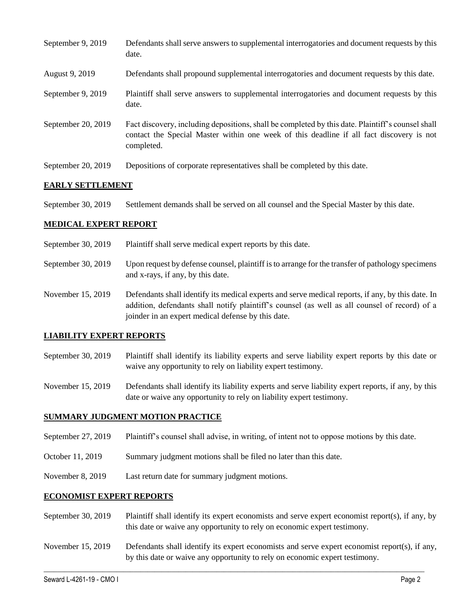| September 9, 2019  | Defendants shall serve answers to supplemental interrogatories and document requests by this<br>date.                                                                                                       |
|--------------------|-------------------------------------------------------------------------------------------------------------------------------------------------------------------------------------------------------------|
| August 9, 2019     | Defendants shall propound supplemental interrogatories and document requests by this date.                                                                                                                  |
| September 9, 2019  | Plaintiff shall serve answers to supplemental interrogatories and document requests by this<br>date.                                                                                                        |
| September 20, 2019 | Fact discovery, including depositions, shall be completed by this date. Plaintiff's counsel shall<br>contact the Special Master within one week of this deadline if all fact discovery is not<br>completed. |
| September 20, 2019 | Depositions of corporate representatives shall be completed by this date.                                                                                                                                   |

#### **EARLY SETTLEMENT**

September 30, 2019 Settlement demands shall be served on all counsel and the Special Master by this date.

### **MEDICAL EXPERT REPORT**

- September 30, 2019 Plaintiff shall serve medical expert reports by this date.
- September 30, 2019 Upon request by defense counsel, plaintiff is to arrange for the transfer of pathology specimens and x-rays, if any, by this date.
- November 15, 2019 Defendants shall identify its medical experts and serve medical reports, if any, by this date. In addition, defendants shall notify plaintiff's counsel (as well as all counsel of record) of a joinder in an expert medical defense by this date.

#### **LIABILITY EXPERT REPORTS**

- September 30, 2019 Plaintiff shall identify its liability experts and serve liability expert reports by this date or waive any opportunity to rely on liability expert testimony.
- November 15, 2019 Defendants shall identify its liability experts and serve liability expert reports, if any, by this date or waive any opportunity to rely on liability expert testimony.

#### **SUMMARY JUDGMENT MOTION PRACTICE**

- September 27, 2019 Plaintiff's counsel shall advise, in writing, of intent not to oppose motions by this date.
- October 11, 2019 Summary judgment motions shall be filed no later than this date.
- November 8, 2019 Last return date for summary judgment motions.

#### **ECONOMIST EXPERT REPORTS**

- September 30, 2019 Plaintiff shall identify its expert economists and serve expert economist report(s), if any, by this date or waive any opportunity to rely on economic expert testimony.
- November 15, 2019 Defendants shall identify its expert economists and serve expert economist report(s), if any, by this date or waive any opportunity to rely on economic expert testimony.

 $\_$  , and the set of the set of the set of the set of the set of the set of the set of the set of the set of the set of the set of the set of the set of the set of the set of the set of the set of the set of the set of th